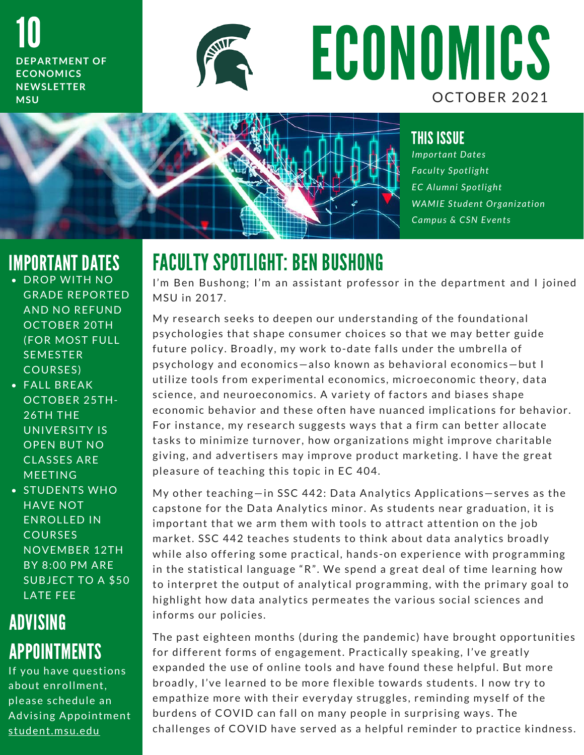10 **DEPARTMENT OF ECONOMICS NEWSLETTER M S U**



# ECONOMICS OCTOBER 2021



#### THIS ISSUE

*Important Dates F a c u l t y S p o t l i g h t E C A l u m n i S p o t l i g h t WAMIE Student Organization Campus & CSN Events* 

#### IMPORTANT DATES

- DROP WITH NO **GRADE REPORTED** AND NO REFUND OCTOBER 20TH (FOR MOST FULL **SEMESTER** COURSES)
- $\bullet$  FALL BREAK OCTOBER 25TH- $26TH$  THE UNIVERSITY IS OPEN BUT NO CLASSES ARE **MEETING**
- STUDENTS WHO HAVE NOT ENROLLED IN COURSES **NOVEMBER 12TH** BY 8:00 PM ARE SUBJECT TO A \$50 LATE FEE

### ADVISING APPOINTMENTS

If you have questions about enrollment, please schedule an Advising Appointment student.msu.edu

# FACULTY SPOTLIGHT: BEN BUSHONG

**I ALULII SPUILIGHI: BEN BUSHUNG**<br>I'm Ben Bushong; I'm an assistant professor in the department and I joined I'm Ben Bushc<br>MSU in 2017.

MSU in 2017.<br>My research seeks to deepen our understanding of the foundational My research seeks to deepen our understanding of the foundational<br>psychologies that shape consumer choices so that we may better guide psychologies that shape consumer choices so that we may better guide<br>future policy. Broadly, my work to-date falls under the umbrella of psychology and economics-also known as behavioral economics-but I psychology and economics—also known as behavioral economics—but I<br>utilize tools from experimental economics, microeconomic theory, data utilize tools from experimental economics, microeconomic theory, da<br>science, and neuroeconomics. A variety of factors and biases shape science, and neuroeconomics. A variety of factors and biases shape<br>economic behavior and these often have nuanced implications for behavior. For instance, my research suggests ways that a firm can better allocate For instance, my research suggests ways that a firm can better allocate<br>tasks to minimize turnover, how organizations might improve charitable tasks to minimize turnover, how organizations might improve charitable<br>giving, and advertisers may improve product marketing. I have the great giving, and advertisers may improve product marketing. I have the great pleasure of teaching this topic in EC 404.

My other teaching  $\overline{=}$  in SSC 442: Data Analytics Applications  $\overline{=}$  serves as the My other teaching—in SSC 442: Data Analytics Applications—serves as the<br>capstone for the Data Analytics minor. As students near graduation, it is capstone for the Data Analytics minor. As students near graduation, it i:<br>important that we arm them with tools to attract attention on the job important that we arm them with tools to attract attention on the job<br>market. SSC 442 teaches students to think about data analytics broadly market. SSC 442 teaches students to think about data analytics broadly<br>while also offering some practical, hands-on experience with programming while also offering some practical, hands-on experience with programming<br>in the statistical language "R". We spend a great deal of time learning how in the statistical language "R". We spend a great deal of time learning how<br>to interpret the output of analytical programming, with the primary goal to to interpret the output of analytical programming, with the primary goal<br>highlight how data analytics permeates the various social sciences and highlight how data an<br>informs our policies.

informs our policies.<br>The past eighteen months (during the pandemic) have brought opportunities The past eighteen months (during the pandemic) have brought opport<mark>t</mark><br>for different forms of engagement. Practically speaking, I've greatly for different forms of engagement. Practically speaking, I've greatly<br>expanded the use of online tools and have found these helpful. But more expanded the use of online tools and have found these helpful. But more<br>broadly, I've learned to be more flexible towards students. I now try to broadly, l've learned to be more flexible towards students. I now try to<br>empathize more with their everyday struggles, reminding myself of the empathize more with their everyday struggles, reminding myself of the<br>burdens of COVID can fall on many people in surprising ways. The challenges of COVID have served as a helpful reminder to practice kindness.